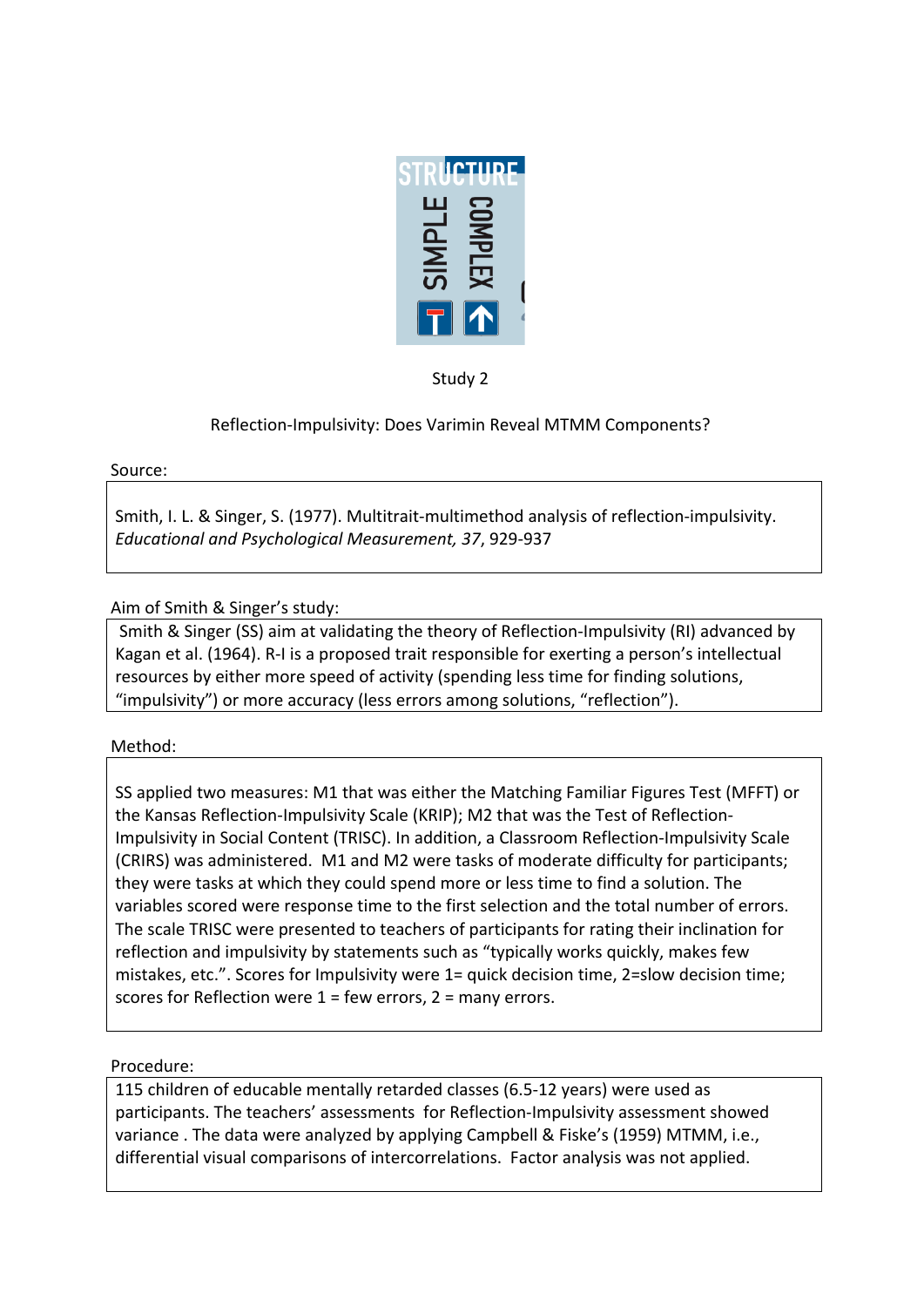

Study 2

# Reflection-Impulsivity: Does Varimin Reveal MTMM Components?

#### Source:

Smith, I. L. & Singer, S. (1977). Multitrait-multimethod analysis of reflection-impulsivity. Educational and Psychological Measurement, 37, 929-937

Aim of Smith & Singer's study:

Smith & Singer (SS) aim at validating the theory of Reflection-Impulsivity (RI) advanced by Kagan et al. (1964). R-I is a proposed trait responsible for exerting a person's intellectual resources by either more speed of activity (spending less time for finding solutions, "impulsivity") or more accuracy (less errors among solutions, "reflection").

## Method:

SS applied two measures: M1 that was either the Matching Familiar Figures Test (MFFT) or the Kansas Reflection-Impulsivity Scale (KRIP); M2 that was the Test of Reflection-Impulsivity in Social Content (TRISC). In addition, a Classroom Reflection-Impulsivity Scale (CRIRS) was administered. M1 and M2 were tasks of moderate difficulty for participants; they were tasks at which they could spend more or less time to find a solution. The variables scored were response time to the first selection and the total number of errors. The scale TRISC were presented to teachers of participants for rating their inclination for reflection and impulsivity by statements such as "typically works quickly, makes few mistakes, etc.". Scores for Impulsivity were 1= quick decision time, 2=slow decision time; scores for Reflection were  $1$  = few errors,  $2$  = many errors.

## Procedure:

115 children of educable mentally retarded classes (6.5-12 years) were used as participants. The teachers' assessments for Reflection-Impulsivity assessment showed variance . The data were analyzed by applying Campbell & Fiske's (1959) MTMM, i.e., differential visual comparisons of intercorrelations. Factor analysis was not applied.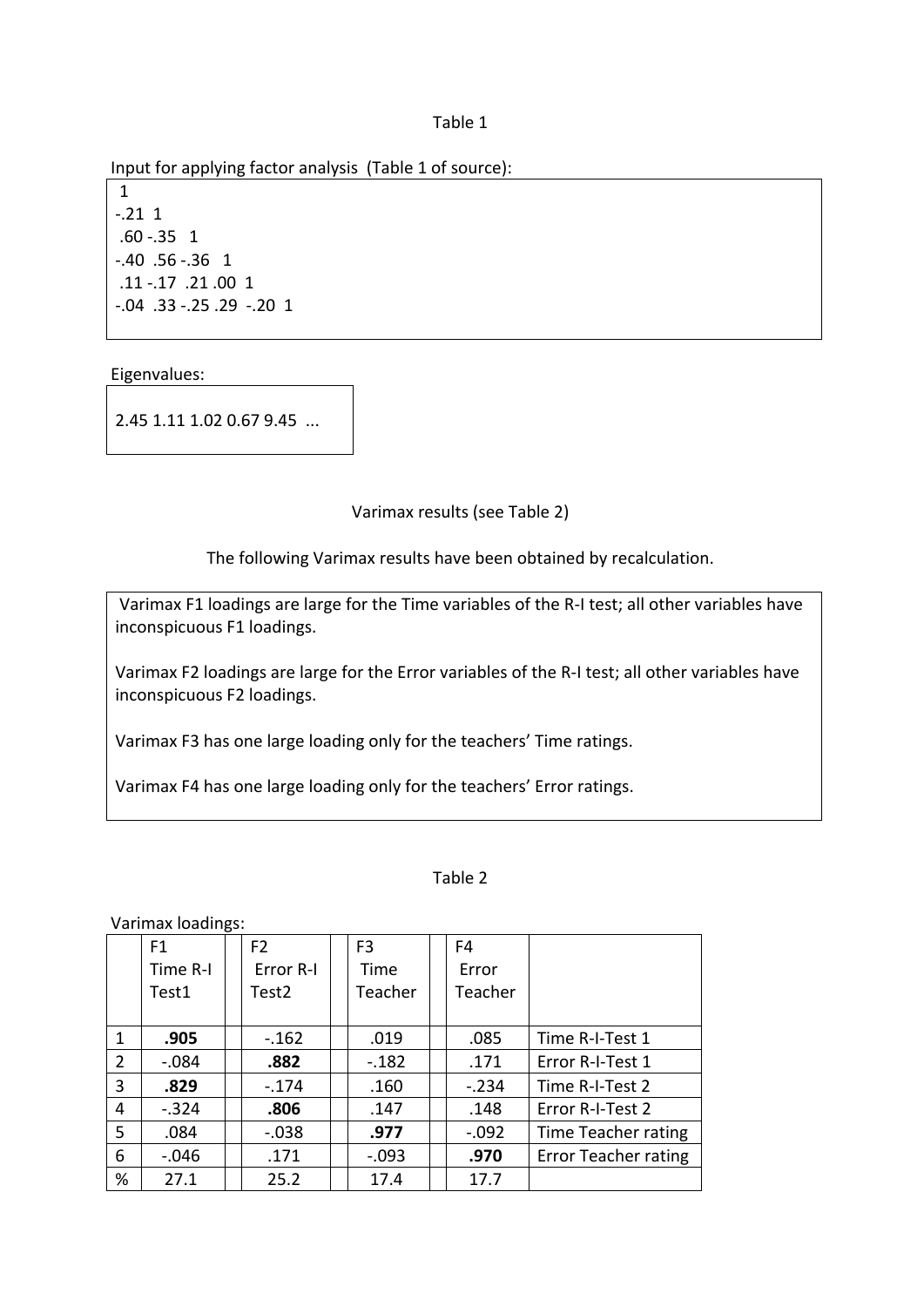Table 1

Input for applying factor analysis (Table 1 of source):

1  $-21 \quad 1$  $.60 - .35$  1  $-0.40$   $.56$   $-0.36$  1 .11.17.21.00 1  $-0.04$   $.33$   $-0.25$   $.29$   $-0.20$  1

Eigenvalues:

2.45 1.11 1.02 0.67 9.45 ...

Varimax results (see Table 2)

The following Varimax results have been obtained by recalculation.

Varimax F1 loadings are large for the Time variables of the R-I test; all other variables have inconspicuous F1 loadings.

Varimax F2 loadings are large for the Error variables of the R-I test; all other variables have inconspicuous F2 loadings.

Varimax F3 has one large loading only for the teachers' Time ratings.

Varimax F4 has one large loading only for the teachers' Error ratings.

#### Table 2

Varimax loadings:

|              | F1       | F <sub>2</sub>    | F <sub>3</sub> | F4      |                             |
|--------------|----------|-------------------|----------------|---------|-----------------------------|
|              | Time R-I | Error R-I         | Time           | Error   |                             |
|              | Test1    | Test <sub>2</sub> | Teacher        | Teacher |                             |
|              |          |                   |                |         |                             |
| $\mathbf{1}$ | .905     | $-.162$           | .019           | .085    | Time R-I-Test 1             |
| 2            | $-.084$  | .882              | $-.182$        | .171    | Error R-I-Test 1            |
| 3            | .829     | $-174$            | .160           | $-.234$ | Time R-I-Test 2             |
| 4            | $-.324$  | .806              | .147           | .148    | Error R-I-Test 2            |
| 5            | .084     | $-0.038$          | .977           | $-.092$ | Time Teacher rating         |
| 6            | $-.046$  | .171              | $-.093$        | .970    | <b>Error Teacher rating</b> |
| %            | 27.1     | 25.2              | 17.4           | 17.7    |                             |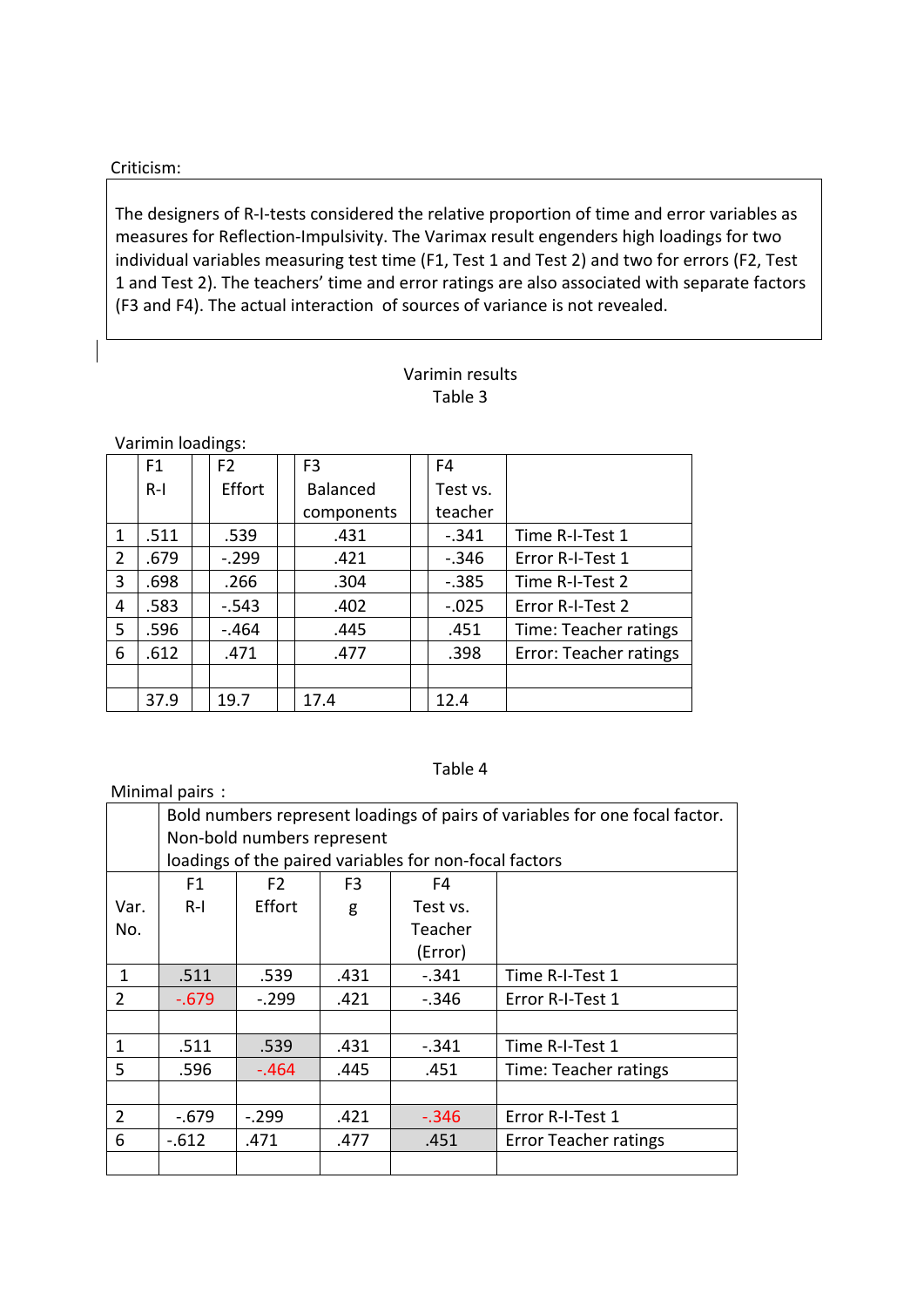#### Criticism:!

The designers of R-I-tests considered the relative proportion of time and error variables as measures for Reflection-Impulsivity. The Varimax result engenders high loadings for two individual variables measuring test time (F1, Test 1 and Test 2) and two for errors (F2, Test 1 and Test 2). The teachers' time and error ratings are also associated with separate factors (F3 and F4). The actual interaction of sources of variance is not revealed.

## Varimin results Table 3

Varimin loadings:

|                | F1    | F <sub>2</sub> | F <sub>3</sub>  |  | F4       |                        |
|----------------|-------|----------------|-----------------|--|----------|------------------------|
|                | $R-1$ | Effort         | <b>Balanced</b> |  | Test vs. |                        |
|                |       |                | components      |  | teacher  |                        |
| 1              | .511  | .539           | .431            |  | $-.341$  | Time R-I-Test 1        |
| $\overline{2}$ | .679  | $-.299$        | .421            |  | $-.346$  | Error R-I-Test 1       |
| 3              | .698  | .266           | .304            |  | $-.385$  | Time R-I-Test 2        |
| 4              | .583  | $-.543$        | .402            |  | $-.025$  | Error R-I-Test 2       |
| 5              | .596  | $-.464$        | .445            |  | .451     | Time: Teacher ratings  |
| 6              | .612  | .471           | .477            |  | .398     | Error: Teacher ratings |
|                |       |                |                 |  |          |                        |
|                | 37.9  | 19.7           | 17.4            |  | 12.4     |                        |

## Table 4

| Minimal pairs: |                                                                             |                |                |          |                       |  |  |  |  |  |
|----------------|-----------------------------------------------------------------------------|----------------|----------------|----------|-----------------------|--|--|--|--|--|
|                | Bold numbers represent loadings of pairs of variables for one focal factor. |                |                |          |                       |  |  |  |  |  |
|                | Non-bold numbers represent                                                  |                |                |          |                       |  |  |  |  |  |
|                | loadings of the paired variables for non-focal factors                      |                |                |          |                       |  |  |  |  |  |
|                | F1                                                                          | F <sub>2</sub> | F <sub>3</sub> | F4       |                       |  |  |  |  |  |
| Var.           | $R-1$                                                                       | <b>Fffort</b>  | g              | Test vs. |                       |  |  |  |  |  |
| No.            |                                                                             |                |                | Teacher  |                       |  |  |  |  |  |
|                |                                                                             |                |                | (Error)  |                       |  |  |  |  |  |
| 1              | .511                                                                        | .539           | .431           | $-.341$  | Time R-I-Test 1       |  |  |  |  |  |
| 2              | $-0.679$                                                                    | $-.299$        | .421           | $-.346$  | Error R-I-Test 1      |  |  |  |  |  |
|                |                                                                             |                |                |          |                       |  |  |  |  |  |
| 1              | .511                                                                        | .539           | .431           | $-.341$  | Time R-I-Test 1       |  |  |  |  |  |
| 5              | .596                                                                        | -.464          | .445           | .451     | Time: Teacher ratings |  |  |  |  |  |
|                |                                                                             |                |                |          |                       |  |  |  |  |  |
| $\overline{2}$ | $-.679$                                                                     | $-.299$        | .421           | $-.346$  | Error R-I-Test 1      |  |  |  |  |  |
| 6              | $-612$                                                                      | .471           | .477           | .451     | Error Teacher ratings |  |  |  |  |  |
|                |                                                                             |                |                |          |                       |  |  |  |  |  |